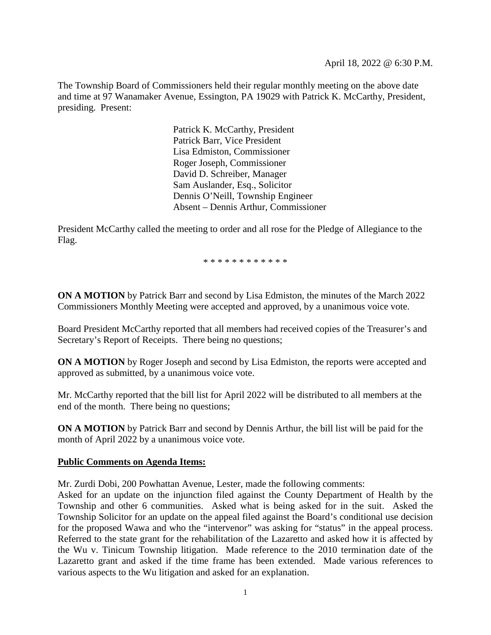The Township Board of Commissioners held their regular monthly meeting on the above date and time at 97 Wanamaker Avenue, Essington, PA 19029 with Patrick K. McCarthy, President, presiding. Present:

> Patrick K. McCarthy, President Patrick Barr, Vice President Lisa Edmiston, Commissioner Roger Joseph, Commissioner David D. Schreiber, Manager Sam Auslander, Esq., Solicitor Dennis O'Neill, Township Engineer Absent – Dennis Arthur, Commissioner

President McCarthy called the meeting to order and all rose for the Pledge of Allegiance to the Flag.

\* \* \* \* \* \* \* \* \* \* \* \*

**ON A MOTION** by Patrick Barr and second by Lisa Edmiston, the minutes of the March 2022 Commissioners Monthly Meeting were accepted and approved, by a unanimous voice vote.

Board President McCarthy reported that all members had received copies of the Treasurer's and Secretary's Report of Receipts. There being no questions;

**ON A MOTION** by Roger Joseph and second by Lisa Edmiston, the reports were accepted and approved as submitted, by a unanimous voice vote.

Mr. McCarthy reported that the bill list for April 2022 will be distributed to all members at the end of the month. There being no questions;

**ON A MOTION** by Patrick Barr and second by Dennis Arthur, the bill list will be paid for the month of April 2022 by a unanimous voice vote.

#### **Public Comments on Agenda Items:**

Mr. Zurdi Dobi, 200 Powhattan Avenue, Lester, made the following comments:

Asked for an update on the injunction filed against the County Department of Health by the Township and other 6 communities. Asked what is being asked for in the suit. Asked the Township Solicitor for an update on the appeal filed against the Board's conditional use decision for the proposed Wawa and who the "intervenor" was asking for "status" in the appeal process. Referred to the state grant for the rehabilitation of the Lazaretto and asked how it is affected by the Wu v. Tinicum Township litigation. Made reference to the 2010 termination date of the Lazaretto grant and asked if the time frame has been extended. Made various references to various aspects to the Wu litigation and asked for an explanation.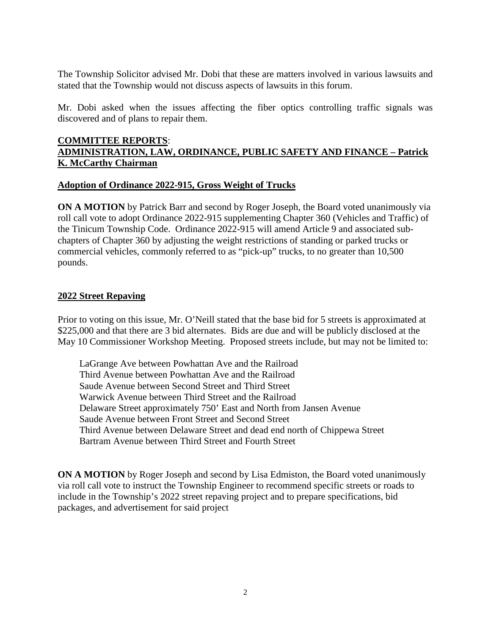The Township Solicitor advised Mr. Dobi that these are matters involved in various lawsuits and stated that the Township would not discuss aspects of lawsuits in this forum.

Mr. Dobi asked when the issues affecting the fiber optics controlling traffic signals was discovered and of plans to repair them.

## **COMMITTEE REPORTS**: **ADMINISTRATION, LAW, ORDINANCE, PUBLIC SAFETY AND FINANCE – Patrick K. McCarthy Chairman**

### **Adoption of Ordinance 2022-915, Gross Weight of Trucks**

**ON A MOTION** by Patrick Barr and second by Roger Joseph, the Board voted unanimously via roll call vote to adopt Ordinance 2022-915 supplementing Chapter 360 (Vehicles and Traffic) of the Tinicum Township Code. Ordinance 2022-915 will amend Article 9 and associated subchapters of Chapter 360 by adjusting the weight restrictions of standing or parked trucks or commercial vehicles, commonly referred to as "pick-up" trucks, to no greater than 10,500 pounds.

### **2022 Street Repaving**

Prior to voting on this issue, Mr. O'Neill stated that the base bid for 5 streets is approximated at \$225,000 and that there are 3 bid alternates. Bids are due and will be publicly disclosed at the May 10 Commissioner Workshop Meeting. Proposed streets include, but may not be limited to:

LaGrange Ave between Powhattan Ave and the Railroad Third Avenue between Powhattan Ave and the Railroad Saude Avenue between Second Street and Third Street Warwick Avenue between Third Street and the Railroad Delaware Street approximately 750' East and North from Jansen Avenue Saude Avenue between Front Street and Second Street Third Avenue between Delaware Street and dead end north of Chippewa Street Bartram Avenue between Third Street and Fourth Street

**ON A MOTION** by Roger Joseph and second by Lisa Edmiston, the Board voted unanimously via roll call vote to instruct the Township Engineer to recommend specific streets or roads to include in the Township's 2022 street repaving project and to prepare specifications, bid packages, and advertisement for said project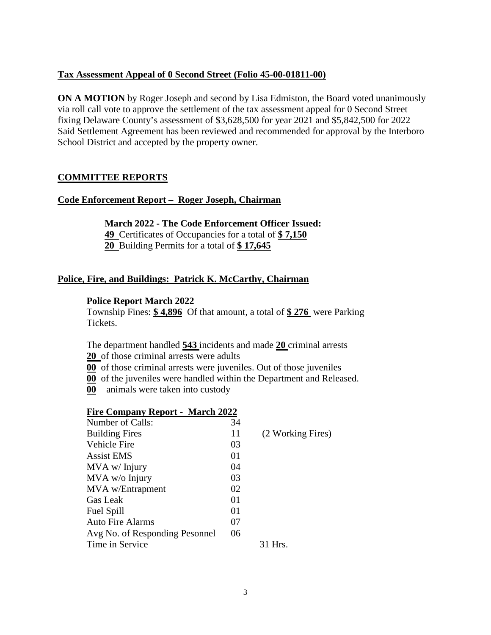### **Tax Assessment Appeal of 0 Second Street (Folio 45-00-01811-00)**

**ON A MOTION** by Roger Joseph and second by Lisa Edmiston, the Board voted unanimously via roll call vote to approve the settlement of the tax assessment appeal for 0 Second Street fixing Delaware County's assessment of \$3,628,500 for year 2021 and \$5,842,500 for 2022 Said Settlement Agreement has been reviewed and recommended for approval by the Interboro School District and accepted by the property owner.

### **COMMITTEE REPORTS**

#### **Code Enforcement Report – Roger Joseph, Chairman**

**March 2022 - The Code Enforcement Officer Issued: 49** Certificates of Occupancies for a total of **\$ 7,150 20** Building Permits for a total of **\$ 17,645**

#### **Police, Fire, and Buildings: Patrick K. McCarthy, Chairman**

#### **Police Report March 2022**

Township Fines: **\$ 4,896** Of that amount, a total of **\$ 276** were Parking Tickets.

The department handled **543** incidents and made **20** criminal arrests

**20** of those criminal arrests were adults

**00** of those criminal arrests were juveniles. Out of those juveniles

**00** of the juveniles were handled within the Department and Released.

**00** animals were taken into custody

| <b>Fire Company Report - March 2022</b> |    |                   |
|-----------------------------------------|----|-------------------|
| Number of Calls:                        | 34 |                   |
| <b>Building Fires</b>                   | 11 | (2 Working Fires) |
| Vehicle Fire                            | 03 |                   |
| <b>Assist EMS</b>                       | 01 |                   |
| $MVA$ w/ Injury                         | 04 |                   |
| MVA w/o Injury                          | 03 |                   |
| MVA w/Entrapment                        | 02 |                   |
| Gas Leak                                | 01 |                   |
| Fuel Spill                              | 01 |                   |
| Auto Fire Alarms                        | 07 |                   |
| Avg No. of Responding Pesonnel          | 06 |                   |
| Time in Service                         |    | 31 Hrs.           |
|                                         |    |                   |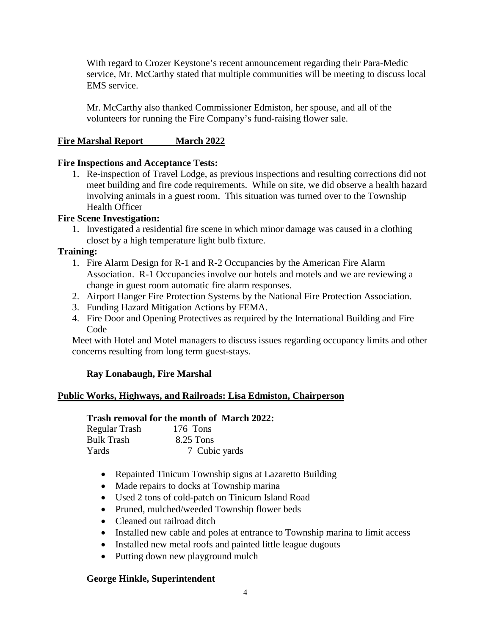With regard to Crozer Keystone's recent announcement regarding their Para-Medic service, Mr. McCarthy stated that multiple communities will be meeting to discuss local EMS service.

Mr. McCarthy also thanked Commissioner Edmiston, her spouse, and all of the volunteers for running the Fire Company's fund-raising flower sale.

## **Fire Marshal Report March 2022**

### **Fire Inspections and Acceptance Tests:**

1. Re-inspection of Travel Lodge, as previous inspections and resulting corrections did not meet building and fire code requirements. While on site, we did observe a health hazard involving animals in a guest room. This situation was turned over to the Township Health Officer

## **Fire Scene Investigation:**

1. Investigated a residential fire scene in which minor damage was caused in a clothing closet by a high temperature light bulb fixture.

### **Training:**

- 1. Fire Alarm Design for R-1 and R-2 Occupancies by the American Fire Alarm Association. R-1 Occupancies involve our hotels and motels and we are reviewing a change in guest room automatic fire alarm responses.
- 2. Airport Hanger Fire Protection Systems by the National Fire Protection Association.
- 3. Funding Hazard Mitigation Actions by FEMA.
- 4. Fire Door and Opening Protectives as required by the International Building and Fire Code

Meet with Hotel and Motel managers to discuss issues regarding occupancy limits and other concerns resulting from long term guest-stays.

## **Ray Lonabaugh, Fire Marshal**

#### **Public Works, Highways, and Railroads: Lisa Edmiston, Chairperson**

#### **Trash removal for the month of March 2022:**

| Regular Trash | 176 Tons      |
|---------------|---------------|
| Bulk Trash    | 8.25 Tons     |
| Yards         | 7 Cubic yards |

- Repainted Tinicum Township signs at Lazaretto Building
- Made repairs to docks at Township marina
- Used 2 tons of cold-patch on Tinicum Island Road
- Pruned, mulched/weeded Township flower beds
- Cleaned out railroad ditch
- Installed new cable and poles at entrance to Township marina to limit access
- Installed new metal roofs and painted little league dugouts
- Putting down new playground mulch

#### **George Hinkle, Superintendent**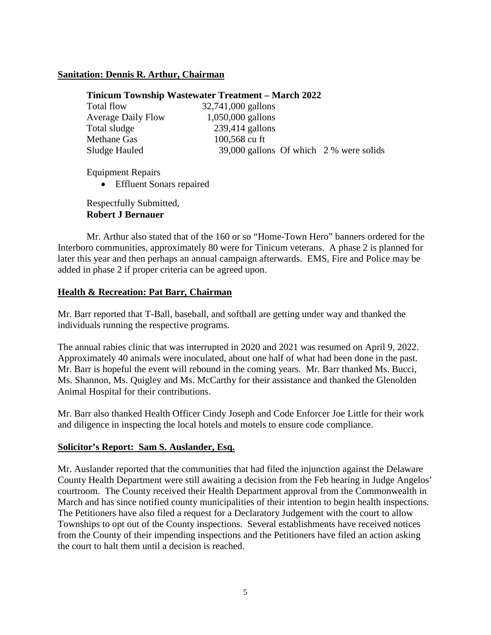### **Sanitation: Dennis R. Arthur, Chairman**

#### **Tinicum Township Wastewater Treatment – March 2022**

| Total flow                | 32,741,000 gallons                      |  |
|---------------------------|-----------------------------------------|--|
| <b>Average Daily Flow</b> | $1,050,000$ gallons                     |  |
| Total sludge              | $239,414$ gallons                       |  |
| <b>Methane Gas</b>        | 100,568 cu ft                           |  |
| Sludge Hauled             | 39,000 gallons Of which 2 % were solids |  |
|                           |                                         |  |

Equipment Repairs

• Effluent Sonars repaired

Respectfully Submitted, **Robert J Bernauer**

Mr. Arthur also stated that of the 160 or so "Home-Town Hero" banners ordered for the Interboro communities, approximately 80 were for Tinicum veterans. A phase 2 is planned for later this year and then perhaps an annual campaign afterwards. EMS, Fire and Police may be added in phase 2 if proper criteria can be agreed upon.

### **Health & Recreation: Pat Barr***,* **Chairman**

Mr. Barr reported that T-Ball, baseball, and softball are getting under way and thanked the individuals running the respective programs.

The annual rabies clinic that was interrupted in 2020 and 2021 was resumed on April 9, 2022. Approximately 40 animals were inoculated, about one half of what had been done in the past. Mr. Barr is hopeful the event will rebound in the coming years. Mr. Barr thanked Ms. Bucci, Ms. Shannon, Ms. Quigley and Ms. McCarthy for their assistance and thanked the Glenolden Animal Hospital for their contributions.

Mr. Barr also thanked Health Officer Cindy Joseph and Code Enforcer Joe Little for their work and diligence in inspecting the local hotels and motels to ensure code compliance.

## **Solicitor's Report: Sam S. Auslander, Esq.**

Mr. Auslander reported that the communities that had filed the injunction against the Delaware County Health Department were still awaiting a decision from the Feb hearing in Judge Angelos' courtroom. The County received their Health Department approval from the Commonwealth in March and has since notified county municipalities of their intention to begin health inspections. The Petitioners have also filed a request for a Declaratory Judgement with the court to allow Townships to opt out of the County inspections. Several establishments have received notices from the County of their impending inspections and the Petitioners have filed an action asking the court to halt them until a decision is reached.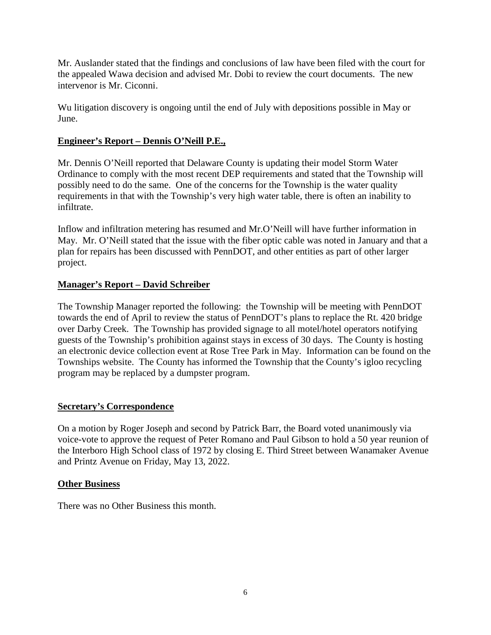Mr. Auslander stated that the findings and conclusions of law have been filed with the court for the appealed Wawa decision and advised Mr. Dobi to review the court documents. The new intervenor is Mr. Ciconni.

Wu litigation discovery is ongoing until the end of July with depositions possible in May or June.

# **Engineer's Report – Dennis O'Neill P.E.,**

Mr. Dennis O'Neill reported that Delaware County is updating their model Storm Water Ordinance to comply with the most recent DEP requirements and stated that the Township will possibly need to do the same. One of the concerns for the Township is the water quality requirements in that with the Township's very high water table, there is often an inability to infiltrate.

Inflow and infiltration metering has resumed and Mr.O'Neill will have further information in May. Mr. O'Neill stated that the issue with the fiber optic cable was noted in January and that a plan for repairs has been discussed with PennDOT, and other entities as part of other larger project.

## **Manager's Report – David Schreiber**

The Township Manager reported the following: the Township will be meeting with PennDOT towards the end of April to review the status of PennDOT's plans to replace the Rt. 420 bridge over Darby Creek. The Township has provided signage to all motel/hotel operators notifying guests of the Township's prohibition against stays in excess of 30 days. The County is hosting an electronic device collection event at Rose Tree Park in May. Information can be found on the Townships website. The County has informed the Township that the County's igloo recycling program may be replaced by a dumpster program.

## **Secretary's Correspondence**

On a motion by Roger Joseph and second by Patrick Barr, the Board voted unanimously via voice-vote to approve the request of Peter Romano and Paul Gibson to hold a 50 year reunion of the Interboro High School class of 1972 by closing E. Third Street between Wanamaker Avenue and Printz Avenue on Friday, May 13, 2022.

## **Other Business**

There was no Other Business this month.